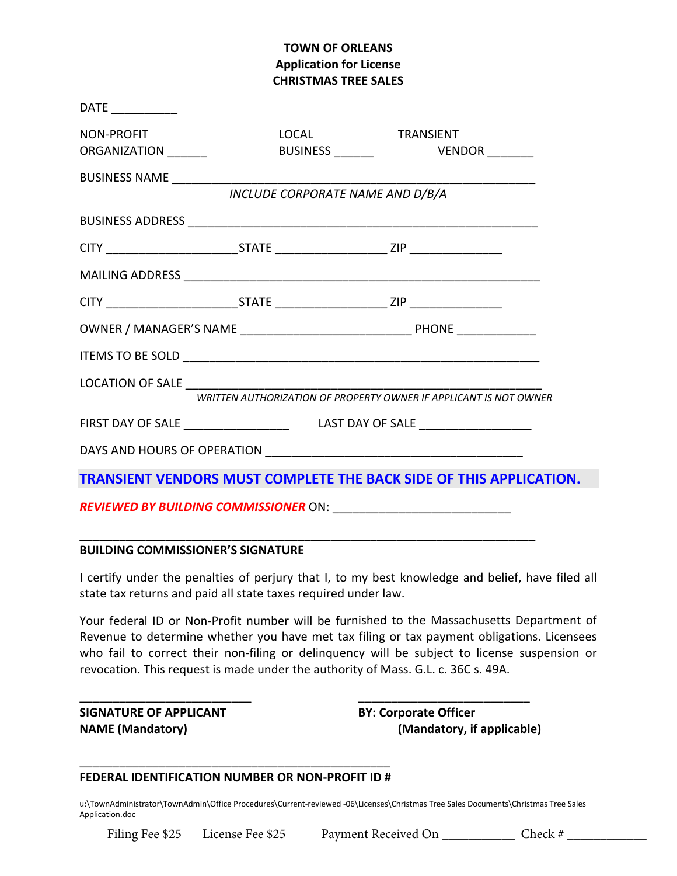## **TOWN OF ORLEANS Application for License CHRISTMAS TREE SALES**

| DATE ____________                                                                                                                                                                                                              |                                  |                                                                          |
|--------------------------------------------------------------------------------------------------------------------------------------------------------------------------------------------------------------------------------|----------------------------------|--------------------------------------------------------------------------|
| NON-PROFIT                                                                                                                                                                                                                     | LOCAL                            | <b>TRANSIENT</b>                                                         |
| ORGANIZATION _______                                                                                                                                                                                                           |                                  | BUSINESS _________      VENDOR _________                                 |
|                                                                                                                                                                                                                                |                                  |                                                                          |
|                                                                                                                                                                                                                                | INCLUDE CORPORATE NAME AND D/B/A |                                                                          |
|                                                                                                                                                                                                                                |                                  |                                                                          |
|                                                                                                                                                                                                                                |                                  |                                                                          |
|                                                                                                                                                                                                                                |                                  |                                                                          |
|                                                                                                                                                                                                                                |                                  |                                                                          |
|                                                                                                                                                                                                                                |                                  |                                                                          |
|                                                                                                                                                                                                                                |                                  |                                                                          |
| LOCATION OF SALE EXECUTIVE THE SALE SERVICE SERVICE SERVICE SERVICE SERVICE SERVICE SERVICE SERVICE SERVICE SERVICE SERVICE SERVICE SERVICE SERVICE SERVICE SERVICE SERVICE SERVICE SERVICE SERVICE SERVICE SERVICE SERVICE SE |                                  |                                                                          |
|                                                                                                                                                                                                                                |                                  | <b>WRITTEN AUTHORIZATION OF PROPERTY OWNER IF APPLICANT IS NOT OWNER</b> |
| FIRST DAY OF SALE ________________________  LAST DAY OF SALE ___________________                                                                                                                                               |                                  |                                                                          |
|                                                                                                                                                                                                                                |                                  |                                                                          |
|                                                                                                                                                                                                                                |                                  | TRANSIENT VENDORS MUST COMPLETE THE BACK SIDE OF THIS APPLICATION.       |

*REVIEWED BY BUILDING COMMISSIONER* ON: \_\_\_\_\_\_\_\_\_\_\_\_\_\_\_\_\_\_\_\_\_\_\_\_\_\_\_

## **BUILDING COMMISSIONER'S SIGNATURE**

I certify under the penalties of perjury that I, to my best knowledge and belief, have filed all state tax returns and paid all state taxes required under law.

\_\_\_\_\_\_\_\_\_\_\_\_\_\_\_\_\_\_\_\_\_\_\_\_\_\_\_\_\_\_\_\_\_\_\_\_\_\_\_\_\_\_\_\_\_\_\_\_\_\_\_\_\_\_\_\_\_\_\_\_\_\_\_\_\_\_\_\_\_

Your federal ID or Non-Profit number will be furnished to the Massachusetts Department of Revenue to determine whether you have met tax filing or tax payment obligations. Licensees who fail to correct their non-filing or delinquency will be subject to license suspension or revocation. This request is made under the authority of Mass. G.L. c. 36C s. 49A.

**SIGNATURE OF APPLICANT BY: Corporate Officer**

**NAME (Mandatory) (Mandatory, if applicable)**

## \_\_\_\_\_\_\_\_\_\_\_\_\_\_\_\_\_\_\_\_\_\_\_\_\_\_\_\_\_\_\_\_\_\_\_\_\_\_\_\_\_\_\_\_\_\_\_ **FEDERAL IDENTIFICATION NUMBER OR NON‐PROFIT ID #**

u:\TownAdministrator\TownAdmin\Office Procedures\Current‐reviewed ‐06\Licenses\Christmas Tree Sales Documents\Christmas Tree Sales Application.doc

\_\_\_\_\_\_\_\_\_\_\_\_\_\_\_\_\_\_\_\_\_\_\_\_\_\_ \_\_\_\_\_\_\_\_\_\_\_\_\_\_\_\_\_\_\_\_\_\_\_\_\_\_